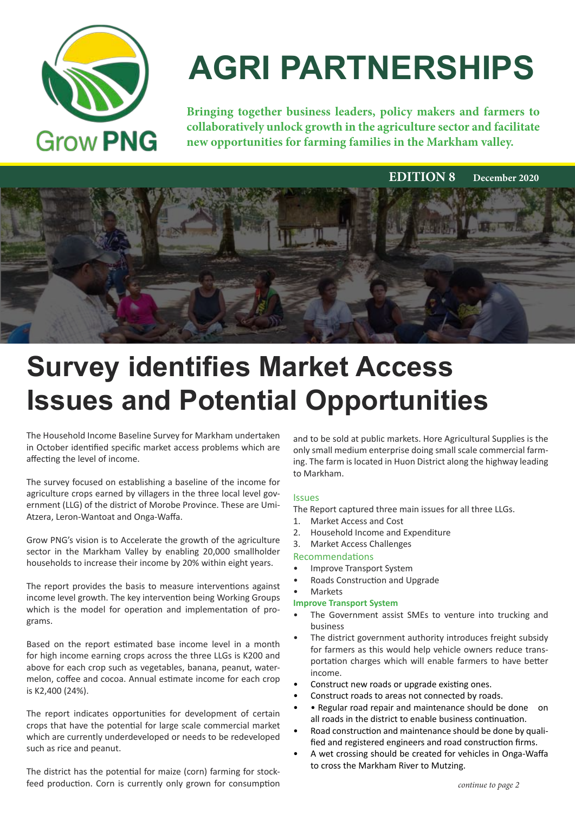

# **AGRI PARTNERSHIPS**

**Bringing together business leaders, policy makers and farmers to collaboratively unlock growth in the agriculture sector and facilitate new opportunities for farming families in the Markham valley.**

 **EDITION 8 December 2020** 



## **Survey identifies Market Access Issues and Potential Opportunities**

The Household Income Baseline Survey for Markham undertaken in October identified specific market access problems which are affecting the level of income.

The survey focused on establishing a baseline of the income for agriculture crops earned by villagers in the three local level government (LLG) of the district of Morobe Province. These are Umi-Atzera, Leron-Wantoat and Onga-Waffa.

Grow PNG's vision is to Accelerate the growth of the agriculture sector in the Markham Valley by enabling 20,000 smallholder households to increase their income by 20% within eight years.

The report provides the basis to measure interventions against income level growth. The key intervention being Working Groups which is the model for operation and implementation of programs.

Based on the report estimated base income level in a month for high income earning crops across the three LLGs is K200 and above for each crop such as vegetables, banana, peanut, watermelon, coffee and cocoa. Annual estimate income for each crop is K2,400 (24%).

The report indicates opportunities for development of certain crops that have the potential for large scale commercial market which are currently underdeveloped or needs to be redeveloped such as rice and peanut.

The district has the potential for maize (corn) farming for stockfeed production. Corn is currently only grown for consumption and to be sold at public markets. Hore Agricultural Supplies is the only small medium enterprise doing small scale commercial farming. The farm is located in Huon District along the highway leading to Markham.

#### Issues

The Report captured three main issues for all three LLGs.

- 1. Market Access and Cost
- 2. Household Income and Expenditure
- 3. Market Access Challenges

#### Recommendations

- Improve Transport System
- Roads Construction and Upgrade
- **Markets**

#### **Improve Transport System**

- The Government assist SMEs to venture into trucking and business
- The district government authority introduces freight subsidy for farmers as this would help vehicle owners reduce transportation charges which will enable farmers to have better income.
- Construct new roads or upgrade existing ones.
- Construct roads to areas not connected by roads.
- • Regular road repair and maintenance should be done on all roads in the district to enable business continuation.
- Road construction and maintenance should be done by qualified and registered engineers and road construction firms.
- A wet crossing should be created for vehicles in Onga-Waffa to cross the Markham River to Mutzing.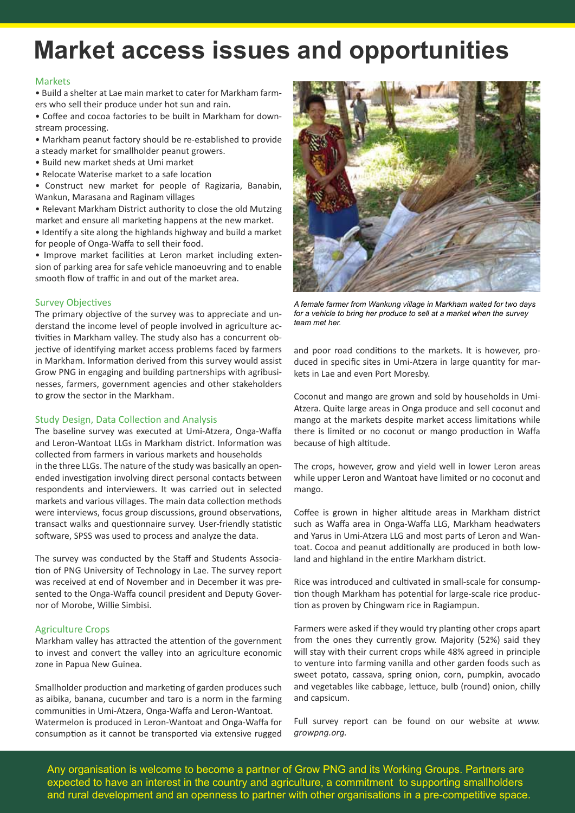### **Market access issues and opportunities**

#### **Markets**

• Build a shelter at Lae main market to cater for Markham farmers who sell their produce under hot sun and rain.

• Coffee and cocoa factories to be built in Markham for downstream processing.

- Markham peanut factory should be re-established to provide
- a steady market for smallholder peanut growers.
- Build new market sheds at Umi market
- Relocate Waterise market to a safe location
- Construct new market for people of Ragizaria, Banabin, Wankun, Marasana and Raginam villages
- Relevant Markham District authority to close the old Mutzing market and ensure all marketing happens at the new market.

• Identify a site along the highlands highway and build a market for people of Onga-Waffa to sell their food.

• Improve market facilities at Leron market including extension of parking area for safe vehicle manoeuvring and to enable smooth flow of traffic in and out of the market area.

#### Survey Objectives

The primary objective of the survey was to appreciate and understand the income level of people involved in agriculture activities in Markham valley. The study also has a concurrent objective of identifying market access problems faced by farmers in Markham. Information derived from this survey would assist Grow PNG in engaging and building partnerships with agribusinesses, farmers, government agencies and other stakeholders to grow the sector in the Markham.

#### Study Design, Data Collection and Analysis

The baseline survey was executed at Umi-Atzera, Onga-Waffa and Leron-Wantoat LLGs in Markham district. Information was collected from farmers in various markets and households in the three LLGs. The nature of the study was basically an openended investigation involving direct personal contacts between respondents and interviewers. It was carried out in selected markets and various villages. The main data collection methods were interviews, focus group discussions, ground observations, transact walks and questionnaire survey. User-friendly statistic software, SPSS was used to process and analyze the data.

The survey was conducted by the Staff and Students Association of PNG University of Technology in Lae. The survey report was received at end of November and in December it was presented to the Onga-Waffa council president and Deputy Governor of Morobe, Willie Simbisi.

#### Agriculture Crops

Markham valley has attracted the attention of the government to invest and convert the valley into an agriculture economic zone in Papua New Guinea.

Smallholder production and marketing of garden produces such as aibika, banana, cucumber and taro is a norm in the farming communities in Umi-Atzera, Onga-Waffa and Leron-Wantoat. Watermelon is produced in Leron-Wantoat and Onga-Waffa for consumption as it cannot be transported via extensive rugged



*A female farmer from Wankung village in Markham waited for two days for a vehicle to bring her produce to sell at a market when the survey team met her.*

and poor road conditions to the markets. It is however, produced in specific sites in Umi-Atzera in large quantity for markets in Lae and even Port Moresby.

Coconut and mango are grown and sold by households in Umi-Atzera. Quite large areas in Onga produce and sell coconut and mango at the markets despite market access limitations while there is limited or no coconut or mango production in Waffa because of high altitude.

The crops, however, grow and yield well in lower Leron areas while upper Leron and Wantoat have limited or no coconut and mango.

Coffee is grown in higher altitude areas in Markham district such as Waffa area in Onga-Waffa LLG, Markham headwaters and Yarus in Umi-Atzera LLG and most parts of Leron and Wantoat. Cocoa and peanut additionally are produced in both lowland and highland in the entire Markham district.

Rice was introduced and cultivated in small-scale for consumption though Markham has potential for large-scale rice production as proven by Chingwam rice in Ragiampun.

Farmers were asked if they would try planting other crops apart from the ones they currently grow. Majority (52%) said they will stay with their current crops while 48% agreed in principle to venture into farming vanilla and other garden foods such as sweet potato, cassava, spring onion, corn, pumpkin, avocado and vegetables like cabbage, lettuce, bulb (round) onion, chilly and capsicum.

Full survey report can be found on our website at *www. growpng.org.*

Any organisation is welcome to become a partner of Grow PNG and its Working Groups. Partners are expected to have an interest in the country and agriculture, a commitment to supporting smallholders and rural development and an openness to partner with other organisations in a pre-competitive space.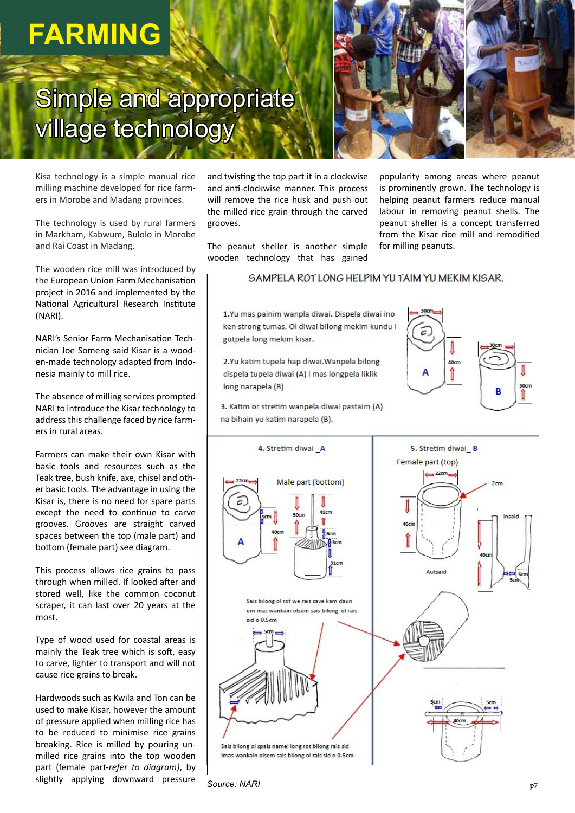## **FARMING**

## Simple and appropriate village technology



Kisa technology is a simple manual rice milling machine developed for rice farmers in Morobe and Madang provinces.

The technology is used by rural farmers in Markham, Kabwum, Bulolo in Morobe and Rai Coast in Madang.

The wooden rice mill was introduced by the European Union Farm Mechanisation project in 2016 and implemented by the National Agricultural Research Institute (NARI).

NARI's Senior Farm Mechanisation Technician Joe Someng said Kisar is a wooden-made technology adapted from Indonesia mainly to mill rice.

The absence of milling services prompted NARI to introduce the Kisar technology to address this challenge faced by rice farmers in rural areas.

Farmers can make their own Kisar with basic tools and resources such as the Teak tree, bush knife, axe, chisel and other basic tools. The advantage in using the Kisar is, there is no need for spare parts except the need to continue to carve grooves. Grooves are straight carved spaces between the top (male part) and bottom (female part) see diagram.

This process allows rice grains to pass through when milled. If looked after and stored well, like the common coconut scraper, it can last over 20 years at the most.

Type of wood used for coastal areas is mainly the Teak tree which is soft, easy to carve, lighter to transport and will not cause rice grains to break.

Hardwoods such as Kwila and Ton can be used to make Kisar, however the amount of pressure applied when milling rice has to be reduced to minimise rice grains breaking. Rice is milled by pouring unmilled rice grains into the top wooden part (female part-*refer to diagram)*, by slightly applying downward pressure and twisting the top part it in a clockwise and anti-clockwise manner. This process will remove the rice husk and push out the milled rice grain through the carved grooves.

The peanut sheller is another simple wooden technology that has gained

popularity among areas where peanut is prominently grown. The technology is helping peanut farmers reduce manual labour in removing peanut shells. The peanut sheller is a concept transferred from the Kisar rice mill and remodified for milling peanuts.



*Source: NARI*